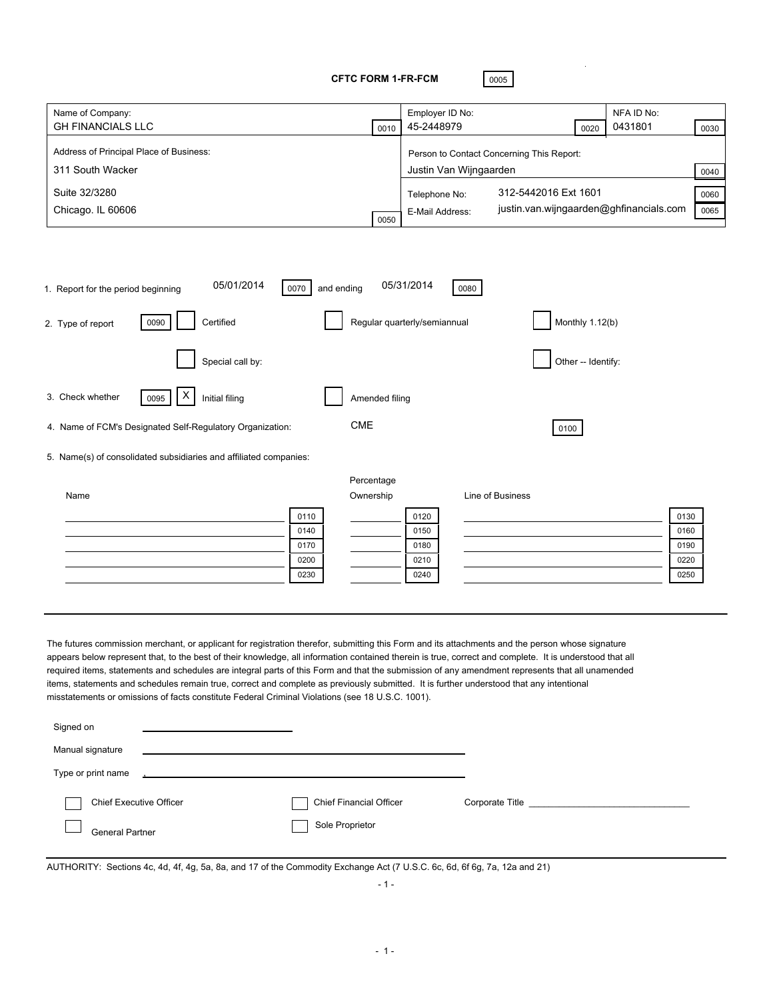**CFTC FORM 1-FR-FCM** 0005

L.

| Name of Company:<br>Employer ID No:<br>NFA ID No:                                                                                                                                                                                                                                           |              |
|---------------------------------------------------------------------------------------------------------------------------------------------------------------------------------------------------------------------------------------------------------------------------------------------|--------------|
| <b>GH FINANCIALS LLC</b><br>45-2448979<br>0431801<br>0010<br>0020                                                                                                                                                                                                                           | 0030         |
| Address of Principal Place of Business:<br>Person to Contact Concerning This Report:                                                                                                                                                                                                        |              |
| Justin Van Wijngaarden<br>311 South Wacker                                                                                                                                                                                                                                                  | 0040         |
| Suite 32/3280<br>312-5442016 Ext 1601<br>Telephone No:                                                                                                                                                                                                                                      | 0060         |
| justin.van.wijngaarden@ghfinancials.com<br>Chicago. IL 60606<br>E-Mail Address:                                                                                                                                                                                                             | 0065         |
| 0050                                                                                                                                                                                                                                                                                        |              |
|                                                                                                                                                                                                                                                                                             |              |
|                                                                                                                                                                                                                                                                                             |              |
| 05/01/2014<br>05/31/2014<br>and ending<br>1. Report for the period beginning<br>0070<br>0080                                                                                                                                                                                                |              |
| Monthly 1.12(b)<br>Certified<br>Regular quarterly/semiannual<br>0090<br>2. Type of report                                                                                                                                                                                                   |              |
| Special call by:<br>Other -- Identify:                                                                                                                                                                                                                                                      |              |
| X<br>3. Check whether<br>Initial filing<br>0095<br>Amended filing                                                                                                                                                                                                                           |              |
| <b>CME</b><br>4. Name of FCM's Designated Self-Regulatory Organization:<br>0100                                                                                                                                                                                                             |              |
| 5. Name(s) of consolidated subsidiaries and affiliated companies:                                                                                                                                                                                                                           |              |
| Percentage                                                                                                                                                                                                                                                                                  |              |
| Ownership<br>Line of Business<br>Name                                                                                                                                                                                                                                                       |              |
| 0110<br>0120                                                                                                                                                                                                                                                                                | 0130         |
| 0140<br>0150                                                                                                                                                                                                                                                                                | 0160         |
| 0170<br>0180                                                                                                                                                                                                                                                                                | 0190         |
| 0200<br>0210<br>0230<br>0240                                                                                                                                                                                                                                                                | 0220<br>0250 |
|                                                                                                                                                                                                                                                                                             |              |
|                                                                                                                                                                                                                                                                                             |              |
|                                                                                                                                                                                                                                                                                             |              |
| The futures commission merchant, or applicant for registration therefor, submitting this Form and its attachments and the person whose signature                                                                                                                                            |              |
| appears below represent that, to the best of their knowledge, all information contained therein is true, correct and complete. It is understood that all                                                                                                                                    |              |
| required items, statements and schedules are integral parts of this Form and that the submission of any amendment represents that all unamended<br>items, statements and schedules remain true, correct and complete as previously submitted. It is further understood that any intentional |              |
| misstatements or omissions of facts constitute Federal Criminal Violations (see 18 U.S.C. 1001).                                                                                                                                                                                            |              |
|                                                                                                                                                                                                                                                                                             |              |
| Signed on                                                                                                                                                                                                                                                                                   |              |
| Manual signature                                                                                                                                                                                                                                                                            |              |
| Type or print name                                                                                                                                                                                                                                                                          |              |
|                                                                                                                                                                                                                                                                                             |              |

AUTHORITY: Sections 4c, 4d, 4f, 4g, 5a, 8a, and 17 of the Commodity Exchange Act (7 U.S.C. 6c, 6d, 6f 6g, 7a, 12a and 21)

General Partner Sole Proprietor

 $\overline{\phantom{a}}$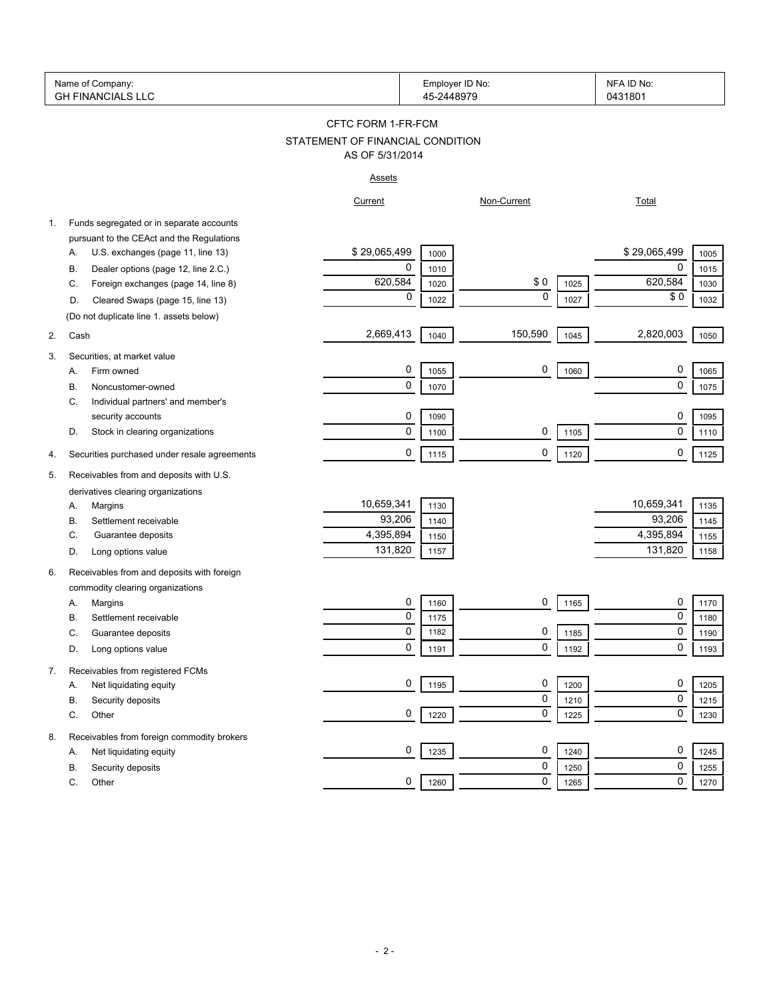|    | Name of Company:<br><b>GH FINANCIALS LLC</b> |                                  | Employer ID No:<br>45-2448979 |             |      | NFA ID No:<br>0431801 |      |
|----|----------------------------------------------|----------------------------------|-------------------------------|-------------|------|-----------------------|------|
|    |                                              | CFTC FORM 1-FR-FCM               |                               |             |      |                       |      |
|    |                                              | STATEMENT OF FINANCIAL CONDITION |                               |             |      |                       |      |
|    |                                              | AS OF 5/31/2014                  |                               |             |      |                       |      |
|    |                                              | <b>Assets</b>                    |                               |             |      |                       |      |
|    |                                              | Current                          |                               | Non-Current |      | <b>Total</b>          |      |
| 1. | Funds segregated or in separate accounts     |                                  |                               |             |      |                       |      |
|    | pursuant to the CEAct and the Regulations    |                                  |                               |             |      |                       |      |
|    | U.S. exchanges (page 11, line 13)<br>Α.      | \$29,065,499                     | 1000                          |             |      | \$29,065,499          | 1005 |
|    | Dealer options (page 12, line 2.C.)<br>В.    | 0                                | 1010                          |             |      | 0                     | 1015 |
|    | Foreign exchanges (page 14, line 8)<br>C.    | 620,584                          | 1020                          | \$0         | 1025 | 620,584               | 1030 |
|    | Cleared Swaps (page 15, line 13)<br>D.       | 0                                | 1022                          | $\mathbf 0$ | 1027 | \$0                   | 1032 |
|    | (Do not duplicate line 1. assets below)      |                                  |                               |             |      |                       |      |
| 2. | Cash                                         | 2,669,413                        | 1040                          | 150,590     | 1045 | 2,820,003             | 1050 |
| 3. | Securities, at market value                  |                                  |                               |             |      |                       |      |
|    | Firm owned<br>А.                             | 0                                | 1055                          | 0           | 1060 | 0                     | 1065 |
|    | Noncustomer-owned<br>В.                      | 0                                | 1070                          |             |      | 0                     | 1075 |
|    | Individual partners' and member's<br>C.      |                                  |                               |             |      |                       |      |
|    | security accounts                            | 0                                | 1090                          |             |      | 0                     | 1095 |
|    | Stock in clearing organizations<br>D.        | 0                                | 1100                          | 0           | 1105 | $\mathbf 0$           | 1110 |
|    |                                              |                                  |                               |             |      |                       |      |
| 4. | Securities purchased under resale agreements | 0                                | 1115                          | 0           | 1120 | 0                     | 1125 |
| 5. | Receivables from and deposits with U.S.      |                                  |                               |             |      |                       |      |
|    | derivatives clearing organizations           |                                  |                               |             |      |                       |      |
|    | Margins<br>А.                                | 10,659,341                       | 1130                          |             |      | 10,659,341            | 1135 |
|    | Settlement receivable<br>В.                  | 93,206                           | 1140                          |             |      | 93,206                | 1145 |
|    | Guarantee deposits<br>C.                     | 4,395,894                        | 1150                          |             |      | 4,395,894             | 1155 |
|    | Long options value<br>D.                     | 131,820                          | 1157                          |             |      | 131,820               | 1158 |
| 6. | Receivables from and deposits with foreign   |                                  |                               |             |      |                       |      |
|    | commodity clearing organizations             |                                  |                               |             |      |                       |      |
|    | Margins<br>Α.                                | 0                                | 1160                          | 0           | 1165 | 0                     | 1170 |
|    | В.<br>Settlement receivable                  | 0                                | 1175                          |             |      | 0                     | 1180 |
|    | C.<br>Guarantee deposits                     | $\Omega$                         | 1182                          | 0           | 1185 | $\Omega$              | 1190 |
|    | Long options value<br>D.                     | 0                                | 1191                          | 0           | 1192 | 0                     | 1193 |
| 7. | Receivables from registered FCMs             |                                  |                               |             |      |                       |      |
|    | Net liquidating equity<br>Α.                 | 0                                | 1195                          | 0           | 1200 | 0                     | 1205 |
|    | В.<br>Security deposits                      |                                  |                               | 0           | 1210 | 0                     | 1215 |
|    | С.<br>Other                                  | 0                                | 1220                          | 0           | 1225 | 0                     | 1230 |
|    |                                              |                                  |                               |             |      |                       |      |
| 8. | Receivables from foreign commodity brokers   |                                  |                               |             |      |                       |      |
|    | Net liquidating equity<br>Α.                 | 0                                | 1235                          | 0           | 1240 | 0                     | 1245 |
|    | В.<br>Security deposits                      |                                  |                               | 0           | 1250 | 0                     | 1255 |
|    | C.<br>Other                                  | 0                                | 1260                          | 0           | 1265 | 0                     | 1270 |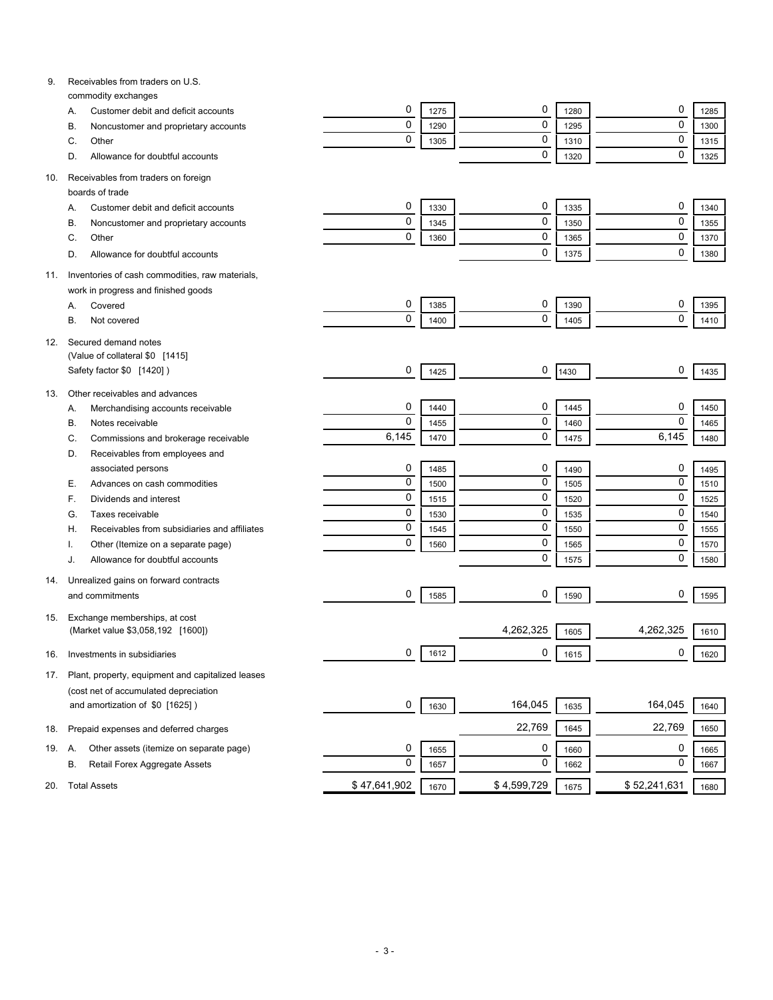| 9.  | Receivables from traders on U.S.                                 |              |      |             |      |              |      |
|-----|------------------------------------------------------------------|--------------|------|-------------|------|--------------|------|
|     | commodity exchanges<br>Customer debit and deficit accounts<br>Α. | 0            | 1275 | 0           | 1280 | 0            | 1285 |
|     | Noncustomer and proprietary accounts<br>В.                       | $\mathbf 0$  | 1290 | 0           | 1295 | $\mathbf 0$  | 1300 |
|     | Other<br>C.                                                      | $\mathbf 0$  | 1305 | 0           | 1310 | $\mathbf 0$  | 1315 |
|     | Allowance for doubtful accounts<br>D.                            |              |      | 0           | 1320 | $\mathbf 0$  | 1325 |
|     |                                                                  |              |      |             |      |              |      |
| 10. | Receivables from traders on foreign                              |              |      |             |      |              |      |
|     | boards of trade                                                  |              |      |             |      |              |      |
|     | Customer debit and deficit accounts<br>Α.                        | 0            | 1330 | 0           | 1335 | 0            | 1340 |
|     | Noncustomer and proprietary accounts<br>B                        | 0            | 1345 | 0           | 1350 | $\mathbf 0$  | 1355 |
|     | Other<br>C.                                                      | 0            | 1360 | 0           | 1365 | $\mathbf 0$  | 1370 |
|     | Allowance for doubtful accounts<br>D.                            |              |      | 0           | 1375 | $\mathbf 0$  | 1380 |
| 11. | Inventories of cash commodities, raw materials,                  |              |      |             |      |              |      |
|     | work in progress and finished goods                              |              |      |             |      |              |      |
|     | Covered<br>Α.                                                    | 0            | 1385 | 0           | 1390 | 0            | 1395 |
|     | В.<br>Not covered                                                | 0            | 1400 | 0           | 1405 | $\mathbf 0$  | 1410 |
|     |                                                                  |              |      |             |      |              |      |
| 12. | Secured demand notes                                             |              |      |             |      |              |      |
|     | (Value of collateral \$0 [1415]                                  | 0            |      | 0           |      | 0            |      |
|     | Safety factor \$0 [1420])                                        |              | 1425 |             | 1430 |              | 1435 |
| 13. | Other receivables and advances                                   |              |      |             |      |              |      |
|     | Merchandising accounts receivable<br>А.                          | 0            | 1440 | 0           | 1445 | 0            | 1450 |
|     | Notes receivable<br>В.                                           | $\mathbf 0$  | 1455 | 0           | 1460 | $\mathbf 0$  | 1465 |
|     | Commissions and brokerage receivable<br>C.                       | 6,145        | 1470 | 0           | 1475 | 6,145        | 1480 |
|     | Receivables from employees and<br>D.                             |              |      |             |      |              |      |
|     | associated persons                                               | 0            | 1485 | 0           | 1490 | 0            | 1495 |
|     | Advances on cash commodities<br>Е.                               | $\mathbf 0$  | 1500 | 0           | 1505 | $\mathbf 0$  | 1510 |
|     | Dividends and interest<br>F.                                     | $\mathbf 0$  | 1515 | 0           | 1520 | $\mathbf 0$  | 1525 |
|     | Taxes receivable<br>G.                                           | $\mathbf 0$  | 1530 | 0           | 1535 | $\mathbf 0$  | 1540 |
|     | Receivables from subsidiaries and affiliates<br>Н.               | $\mathbf 0$  | 1545 | 0           | 1550 | $\mathbf 0$  | 1555 |
|     | Other (Itemize on a separate page)                               | $\mathbf 0$  | 1560 | 0           | 1565 | $\mathbf 0$  | 1570 |
|     | Allowance for doubtful accounts<br>J.                            |              |      | 0           | 1575 | $\mathbf 0$  | 1580 |
|     | Unrealized gains on forward contracts                            |              |      |             |      |              |      |
| 14. | and commitments                                                  | 0            | 1585 | 0           | 1590 | 0            | 1595 |
|     |                                                                  |              |      |             |      |              |      |
| 15. | Exchange memberships, at cost                                    |              |      |             |      |              |      |
|     | (Market value \$3,058,192 [1600])                                |              |      | 4,262,325   | 1605 | 4,262,325    | 1610 |
| 16. | Investments in subsidiaries                                      | 0            | 1612 | 0           | 1615 | 0            | 1620 |
|     |                                                                  |              |      |             |      |              |      |
| 17. | Plant, property, equipment and capitalized leases                |              |      |             |      |              |      |
|     | (cost net of accumulated depreciation                            |              |      | 164,045     |      | 164,045      |      |
|     | and amortization of \$0 [1625])                                  | 0            | 1630 |             | 1635 |              | 1640 |
| 18. | Prepaid expenses and deferred charges                            |              |      | 22,769      | 1645 | 22,769       | 1650 |
| 19. | Other assets (itemize on separate page)<br>А.                    | 0            | 1655 | 0           | 1660 | 0            | 1665 |
|     | Retail Forex Aggregate Assets<br>В.                              | $\mathbf 0$  | 1657 | 0           | 1662 | 0            | 1667 |
|     |                                                                  |              |      |             |      |              |      |
| 20. | <b>Total Assets</b>                                              | \$47,641,902 | 1670 | \$4,599,729 | 1675 | \$52,241,631 | 1680 |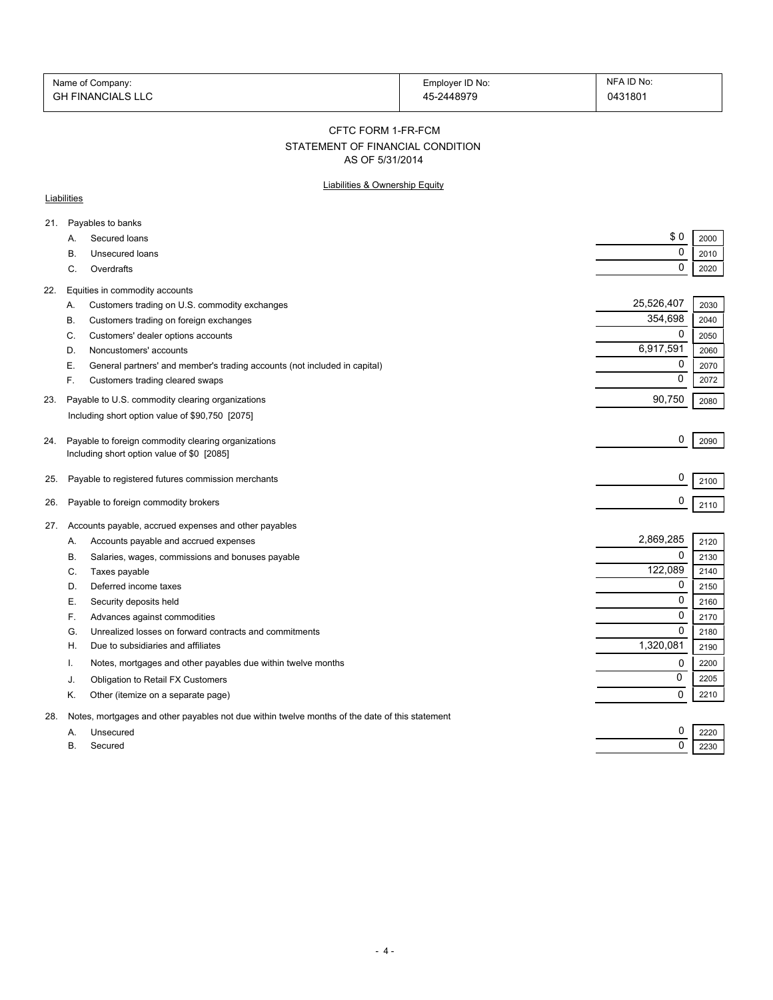| Name of Company:  | Employer ID No: | NFA ID No: |
|-------------------|-----------------|------------|
| GH FINANCIALS LLC | 45-2448979      | 0431801    |

#### CFTC FORM 1-FR-FCM

# STATEMENT OF FINANCIAL CONDITION

AS OF 5/31/2014

### Liabilities & Ownership Equity

### **Liabilities**

| 21. | Payables to banks                                                                              |                          |
|-----|------------------------------------------------------------------------------------------------|--------------------------|
|     | Secured loans<br>A.                                                                            | \$0<br>2000              |
|     | Unsecured loans<br>В.                                                                          | 0<br>2010                |
|     | C.<br>Overdrafts                                                                               | $\mathbf 0$<br>2020      |
| 22. | Equities in commodity accounts                                                                 |                          |
|     | Customers trading on U.S. commodity exchanges<br>Α.                                            | 25,526,407<br>2030       |
|     | Customers trading on foreign exchanges<br>В.                                                   | 354,698<br>2040          |
|     | Customers' dealer options accounts<br>C.                                                       | $\mathbf 0$<br>2050      |
|     | D.<br>Noncustomers' accounts                                                                   | 6,917,591<br>2060        |
|     | Е.<br>General partners' and member's trading accounts (not included in capital)                | 0<br>2070                |
|     | F.<br>Customers trading cleared swaps                                                          | 0<br>2072                |
|     |                                                                                                |                          |
| 23. | Payable to U.S. commodity clearing organizations                                               | 90,750<br>2080           |
|     | Including short option value of \$90,750 [2075]                                                |                          |
| 24. | Payable to foreign commodity clearing organizations                                            | 0<br>2090                |
|     | Including short option value of \$0 [2085]                                                     |                          |
|     |                                                                                                |                          |
| 25. | Payable to registered futures commission merchants                                             | 0<br>2100                |
| 26. | Payable to foreign commodity brokers                                                           | 0<br>2110                |
|     |                                                                                                |                          |
| 27. | Accounts payable, accrued expenses and other payables                                          |                          |
|     | Accounts payable and accrued expenses<br>А.                                                    | 2,869,285<br>2120        |
|     | Salaries, wages, commissions and bonuses payable<br>В.                                         | $\mathbf 0$<br>2130      |
|     | C.<br>Taxes payable                                                                            | 122,089<br>2140          |
|     | Deferred income taxes<br>D.                                                                    | 0<br>2150<br>$\mathbf 0$ |
|     | Е.<br>Security deposits held                                                                   | 2160                     |
|     | F.<br>Advances against commodities                                                             | 0<br>2170                |
|     | Unrealized losses on forward contracts and commitments<br>G.                                   | 0<br>2180                |
|     | Η.<br>Due to subsidiaries and affiliates                                                       | 1,320,081<br>2190        |
|     | Notes, mortgages and other payables due within twelve months<br>Ι.                             | 0<br>2200                |
|     | Obligation to Retail FX Customers<br>J.                                                        | 0<br>2205                |
|     | Κ.<br>Other (itemize on a separate page)                                                       | 0<br>2210                |
| 28. | Notes, mortgages and other payables not due within twelve months of the date of this statement |                          |
|     | Unsecured<br>А.                                                                                | 0<br>2220                |
|     | В.<br>Secured                                                                                  | 0<br>2230                |
|     |                                                                                                |                          |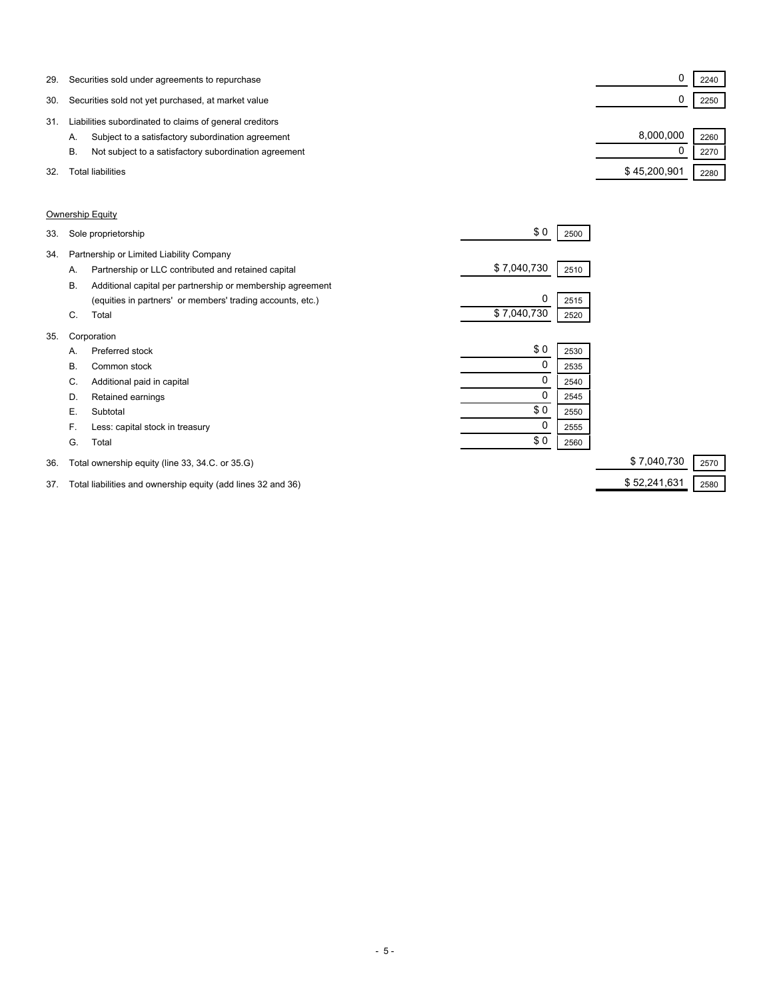| 29. | Securities sold under agreements to repurchase              |              | 2240 |  |
|-----|-------------------------------------------------------------|--------------|------|--|
| 30. | Securities sold not yet purchased, at market value          |              | 2250 |  |
| 31  | Liabilities subordinated to claims of general creditors     |              |      |  |
|     | Subject to a satisfactory subordination agreement<br>Α.     | 8.000.000    | 2260 |  |
|     | Not subject to a satisfactory subordination agreement<br>В. |              | 2270 |  |
| 32. | Total liabilities                                           | \$45,200,901 | 2280 |  |

### Ownership Equity

| 34.<br>Partnership or Limited Liability Company<br>\$7,040,730<br>Partnership or LLC contributed and retained capital<br>2510<br>А.<br>Additional capital per partnership or membership agreement<br>В.<br>0<br>(equities in partners' or members' trading accounts, etc.)<br>2515<br>\$7,040,730<br>C.<br>Total<br>2520<br>35.<br>Corporation<br>\$0<br>Preferred stock<br>2530<br>А.<br>0<br>В.<br>Common stock<br>2535<br>0<br>Additional paid in capital<br>C.<br>2540<br>Retained earnings<br>D.<br>2545<br>\$0<br>Е.<br>Subtotal<br>2550<br>0<br>Less: capital stock in treasury<br>F.<br>2555<br>\$0<br>G.<br>Total<br>2560<br>\$7,040,730<br>36.<br>Total ownership equity (line 33, 34.C. or 35.G) | 33. | Sole proprietorship | \$0 | 2500 |      |
|-------------------------------------------------------------------------------------------------------------------------------------------------------------------------------------------------------------------------------------------------------------------------------------------------------------------------------------------------------------------------------------------------------------------------------------------------------------------------------------------------------------------------------------------------------------------------------------------------------------------------------------------------------------------------------------------------------------|-----|---------------------|-----|------|------|
|                                                                                                                                                                                                                                                                                                                                                                                                                                                                                                                                                                                                                                                                                                             |     |                     |     |      |      |
|                                                                                                                                                                                                                                                                                                                                                                                                                                                                                                                                                                                                                                                                                                             |     |                     |     |      |      |
|                                                                                                                                                                                                                                                                                                                                                                                                                                                                                                                                                                                                                                                                                                             |     |                     |     |      |      |
|                                                                                                                                                                                                                                                                                                                                                                                                                                                                                                                                                                                                                                                                                                             |     |                     |     |      |      |
|                                                                                                                                                                                                                                                                                                                                                                                                                                                                                                                                                                                                                                                                                                             |     |                     |     |      |      |
|                                                                                                                                                                                                                                                                                                                                                                                                                                                                                                                                                                                                                                                                                                             |     |                     |     |      |      |
|                                                                                                                                                                                                                                                                                                                                                                                                                                                                                                                                                                                                                                                                                                             |     |                     |     |      |      |
|                                                                                                                                                                                                                                                                                                                                                                                                                                                                                                                                                                                                                                                                                                             |     |                     |     |      |      |
|                                                                                                                                                                                                                                                                                                                                                                                                                                                                                                                                                                                                                                                                                                             |     |                     |     |      |      |
|                                                                                                                                                                                                                                                                                                                                                                                                                                                                                                                                                                                                                                                                                                             |     |                     |     |      |      |
|                                                                                                                                                                                                                                                                                                                                                                                                                                                                                                                                                                                                                                                                                                             |     |                     |     |      |      |
|                                                                                                                                                                                                                                                                                                                                                                                                                                                                                                                                                                                                                                                                                                             |     |                     |     |      |      |
|                                                                                                                                                                                                                                                                                                                                                                                                                                                                                                                                                                                                                                                                                                             |     |                     |     |      |      |
|                                                                                                                                                                                                                                                                                                                                                                                                                                                                                                                                                                                                                                                                                                             |     |                     |     |      | 2570 |

37. Total liabilities and ownership equity (add lines 32 and 36) \$52,241,631 \$52,241,631 3580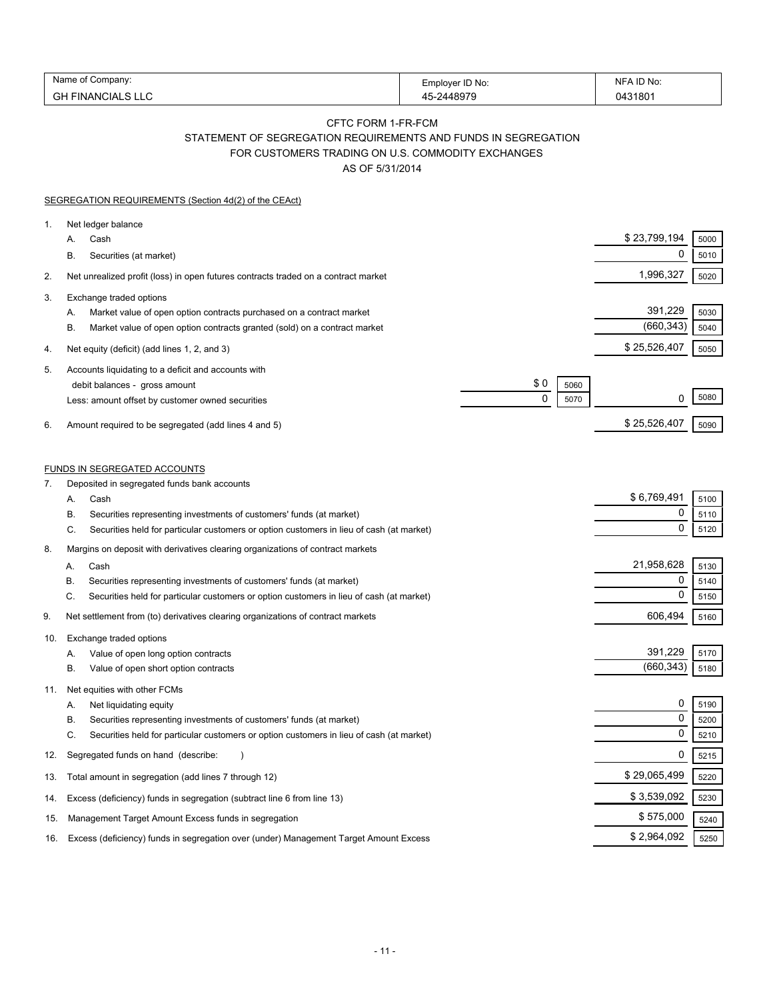| Name<br>∶ompanv:           | Employer ID No:<br>ᆸ… | No<br>NĿ                      |
|----------------------------|-----------------------|-------------------------------|
| ឹட<br>∙INA<br>.<br>σΓ<br>└ | 10070                 | 180<br>$\overline{101}$<br>۱4 |

### CFTC FORM 1-FR-FCM STATEMENT OF SEGREGATION REQUIREMENTS AND FUNDS IN SEGREGATION FOR CUSTOMERS TRADING ON U.S. COMMODITY EXCHANGES

AS OF 5/31/2014

| <b>SEGREGATION REQUIREMENTS (Section 4d(2) of the CEAct)</b>                                                                                                                                                                                                                      |                                     |                                 |                      |
|-----------------------------------------------------------------------------------------------------------------------------------------------------------------------------------------------------------------------------------------------------------------------------------|-------------------------------------|---------------------------------|----------------------|
| Net ledger balance<br>1.<br>Cash<br>А.<br>В.<br>Securities (at market)                                                                                                                                                                                                            |                                     | \$23,799,194<br>0               | 5000<br>5010         |
| 2.<br>Net unrealized profit (loss) in open futures contracts traded on a contract market                                                                                                                                                                                          |                                     | 1,996,327                       | 5020                 |
| 3.<br>Exchange traded options<br>Market value of open option contracts purchased on a contract market<br>Α.<br>В.<br>Market value of open option contracts granted (sold) on a contract market                                                                                    |                                     | 391,229<br>(660, 343)           | 5030<br>5040         |
| Net equity (deficit) (add lines 1, 2, and 3)<br>4.                                                                                                                                                                                                                                |                                     | \$25,526,407                    | 5050                 |
| Accounts liquidating to a deficit and accounts with<br>5.<br>debit balances - gross amount<br>Less: amount offset by customer owned securities<br>Amount required to be segregated (add lines 4 and 5)<br>6.                                                                      | \$0<br>5060<br>$\mathbf{0}$<br>5070 | 0<br>\$25,526,407               | 5080<br>5090         |
| <b>FUNDS IN SEGREGATED ACCOUNTS</b>                                                                                                                                                                                                                                               |                                     |                                 |                      |
| Deposited in segregated funds bank accounts<br>7.<br>Cash<br>А.<br>Securities representing investments of customers' funds (at market)<br>В.<br>C.<br>Securities held for particular customers or option customers in lieu of cash (at market)                                    |                                     | \$6,769,491<br>0<br>$\mathbf 0$ | 5100<br>5110<br>5120 |
| Margins on deposit with derivatives clearing organizations of contract markets<br>8.<br>Cash<br>А.<br>В.<br>Securities representing investments of customers' funds (at market)<br>C.<br>Securities held for particular customers or option customers in lieu of cash (at market) |                                     | 21,958,628<br>0<br>$\mathbf 0$  | 5130<br>5140<br>5150 |
| Net settlement from (to) derivatives clearing organizations of contract markets<br>9.                                                                                                                                                                                             |                                     | 606,494                         | 5160                 |
| Exchange traded options<br>10.<br>Value of open long option contracts<br>А.<br>В.<br>Value of open short option contracts                                                                                                                                                         |                                     | 391,229<br>(660, 343)           | 5170<br>5180         |
| Net equities with other FCMs<br>11.<br>Net liquidating equity<br>А.<br>Securities representing investments of customers' funds (at market)<br>В.<br>C.<br>Securities held for particular customers or option customers in lieu of cash (at market)                                |                                     | 0<br>0<br>0                     | 5190<br>5200<br>5210 |
| Segregated funds on hand (describe:<br>12.                                                                                                                                                                                                                                        |                                     | 0                               | 5215                 |
| Total amount in segregation (add lines 7 through 12)<br>13.                                                                                                                                                                                                                       |                                     | \$29,065,499                    | 5220                 |
| Excess (deficiency) funds in segregation (subtract line 6 from line 13)<br>14.                                                                                                                                                                                                    |                                     | \$3,539,092                     | 5230                 |
| Management Target Amount Excess funds in segregation<br>15.                                                                                                                                                                                                                       |                                     | \$575,000                       | 5240                 |
| Excess (deficiency) funds in segregation over (under) Management Target Amount Excess<br>16.                                                                                                                                                                                      |                                     | \$2,964,092                     | 5250                 |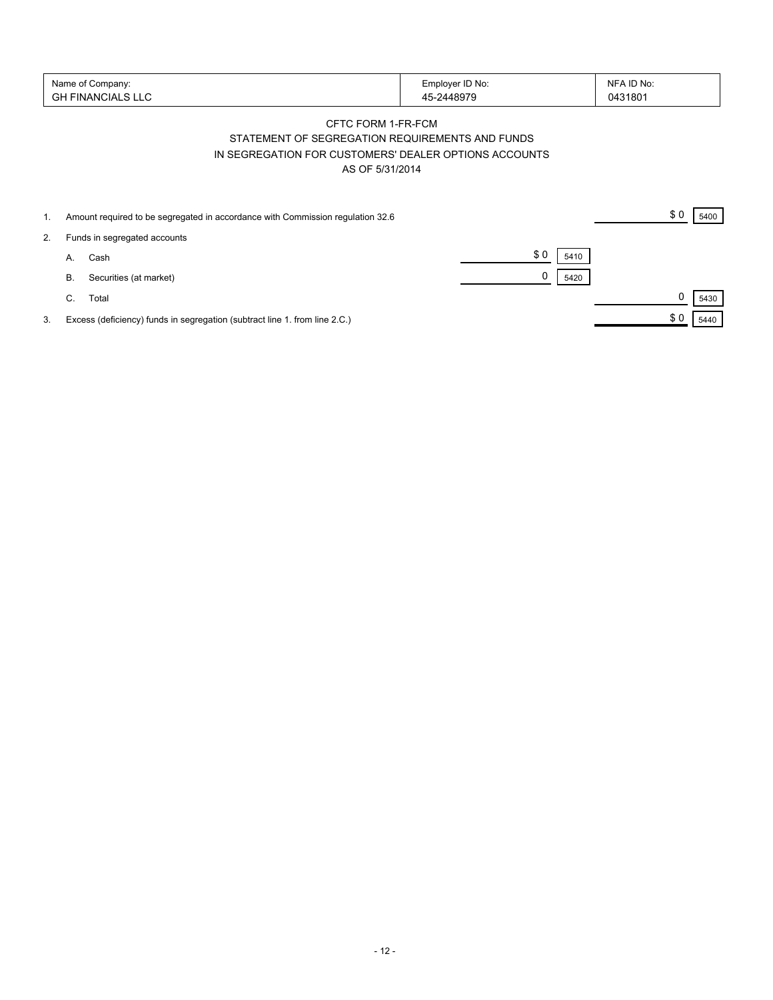| Name of Company:<br>' FINANCIALS LLU<br>GH | Employer ID No:<br>$-2448979$ | NFA ID No:<br>0431801 |
|--------------------------------------------|-------------------------------|-----------------------|
|--------------------------------------------|-------------------------------|-----------------------|

# CFTC FORM 1-FR-FCM STATEMENT OF SEGREGATION REQUIREMENTS AND FUNDS IN SEGREGATION FOR CUSTOMERS' DEALER OPTIONS ACCOUNTS AS OF 5/31/2014

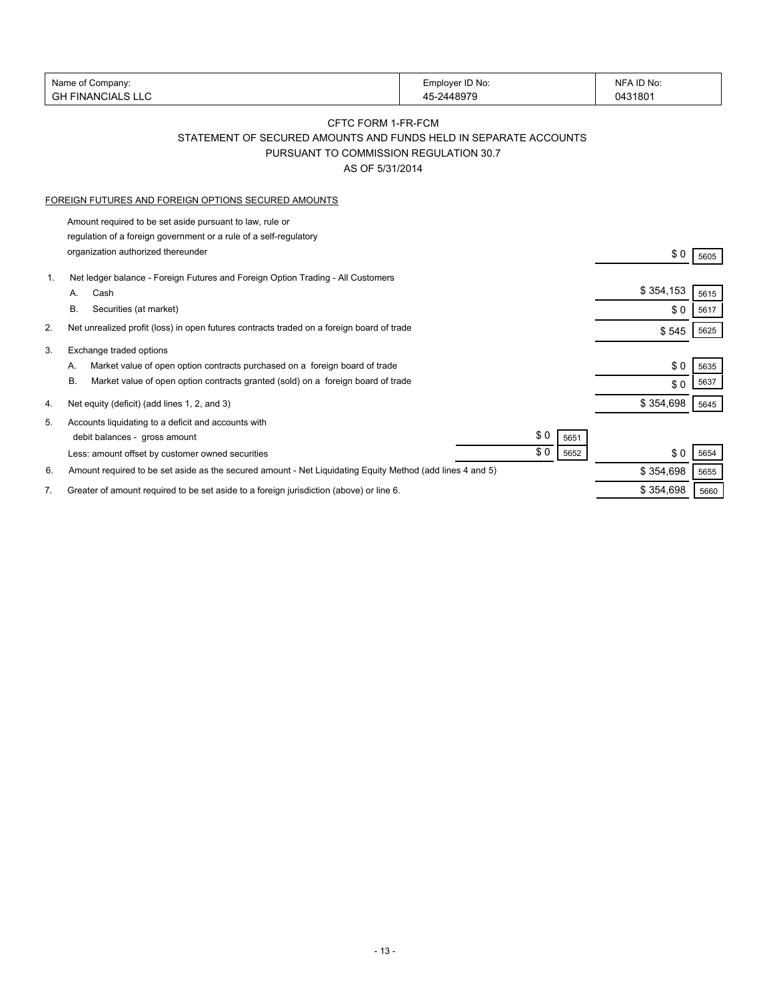| Name of Company:                                                                                                | Employer ID No:                                                  | NFA ID No:          |
|-----------------------------------------------------------------------------------------------------------------|------------------------------------------------------------------|---------------------|
| <b>GH FINANCIALS LLC</b>                                                                                        | 45-2448979                                                       | 0431801             |
|                                                                                                                 | CFTC FORM 1-FR-FCM                                               |                     |
|                                                                                                                 | STATEMENT OF SECURED AMOUNTS AND FUNDS HELD IN SEPARATE ACCOUNTS |                     |
|                                                                                                                 | PURSUANT TO COMMISSION REGULATION 30.7                           |                     |
|                                                                                                                 | AS OF 5/31/2014                                                  |                     |
|                                                                                                                 |                                                                  |                     |
| FOREIGN FUTURES AND FOREIGN OPTIONS SECURED AMOUNTS                                                             |                                                                  |                     |
| Amount required to be set aside pursuant to law, rule or                                                        |                                                                  |                     |
| regulation of a foreign government or a rule of a self-regulatory                                               |                                                                  |                     |
| organization authorized thereunder                                                                              |                                                                  | \$0<br>5605         |
|                                                                                                                 |                                                                  |                     |
| Net ledger balance - Foreign Futures and Foreign Option Trading - All Customers<br>1.<br>Cash<br>A.             |                                                                  | \$354,153           |
| В.<br>Securities (at market)                                                                                    |                                                                  | 5615                |
|                                                                                                                 |                                                                  | \$0<br>5617         |
| 2.<br>Net unrealized profit (loss) in open futures contracts traded on a foreign board of trade                 |                                                                  | \$545<br>5625       |
| 3.<br>Exchange traded options                                                                                   |                                                                  |                     |
| Market value of open option contracts purchased on a foreign board of trade<br>А.                               |                                                                  | \$0<br>5635         |
| Market value of open option contracts granted (sold) on a foreign board of trade<br>В.                          |                                                                  | 5637<br>\$0         |
| Net equity (deficit) (add lines 1, 2, and 3)<br>4.                                                              |                                                                  | \$354,698<br>5645   |
|                                                                                                                 |                                                                  |                     |
| Accounts liquidating to a deficit and accounts with<br>5.                                                       | \$0                                                              |                     |
| debit balances - gross amount                                                                                   | \$0                                                              | 5651                |
| Less: amount offset by customer owned securities                                                                |                                                                  | \$0<br>5652<br>5654 |
| Amount required to be set aside as the secured amount - Net Liquidating Equity Method (add lines 4 and 5)<br>6. |                                                                  | \$354,698<br>5655   |
| Greater of amount required to be set aside to a foreign jurisdiction (above) or line 6.<br>7.                   |                                                                  | \$354,698<br>5660   |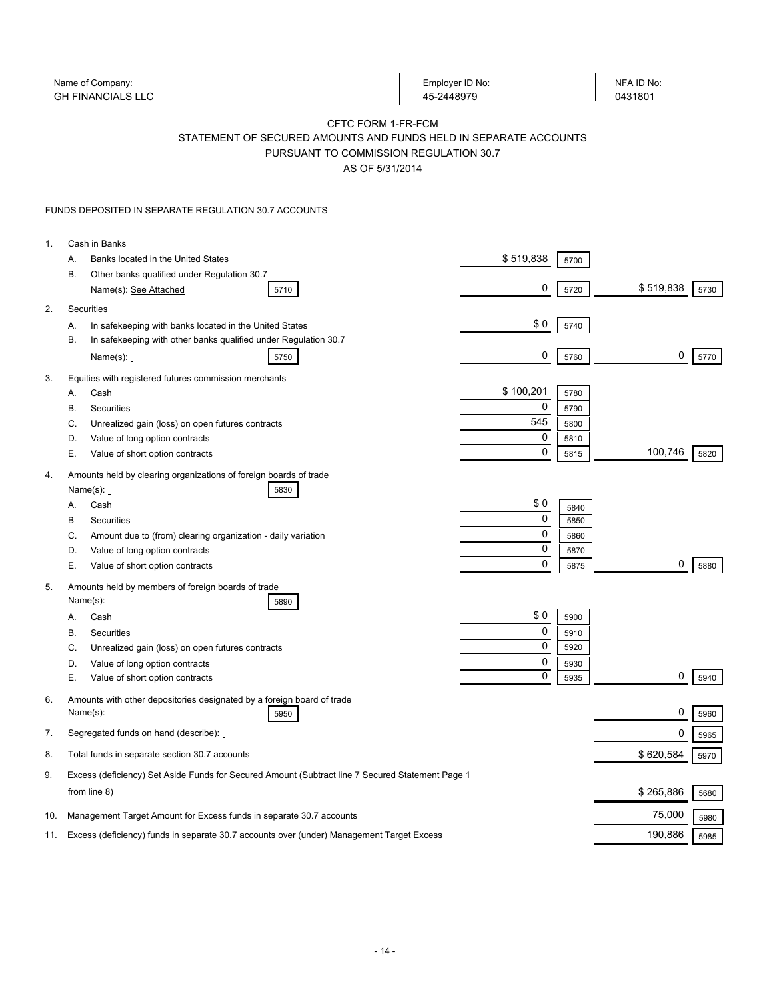| Name of Company:<br><b>GH FINANCIALS LLC</b>                                                                                                        | Employer ID No:<br>45-2448979 | NFA ID No:<br>0431801 |
|-----------------------------------------------------------------------------------------------------------------------------------------------------|-------------------------------|-----------------------|
| CFTC FORM 1-FR-FCM<br>STATEMENT OF SECURED AMOUNTS AND FUNDS HELD IN SEPARATE ACCOUNTS<br>PURSUANT TO COMMISSION REGULATION 30.7<br>AS OF 5/31/2014 |                               |                       |
| <b>FUNDS DEPOSITED IN SEPARATE REGULATION 30.7 ACCOUNTS</b>                                                                                         |                               |                       |
| Cash in Banks<br>$\mathbf{1}$ .                                                                                                                     |                               |                       |
| Banks located in the United States<br>А.                                                                                                            | \$519,838<br>5700             |                       |
| В.<br>Other banks qualified under Regulation 30.7<br>Name(s): See Attached<br>5710                                                                  | 0<br>5720                     | \$519,838<br>5730     |
| Securities<br>2.                                                                                                                                    |                               |                       |
| In safekeeping with banks located in the United States<br>А.                                                                                        | \$0<br>5740                   |                       |
| In safekeeping with other banks qualified under Regulation 30.7<br>В.<br>Name $(s)$ :<br>5750                                                       | 0<br>5760                     | 0<br>5770             |
| Equities with registered futures commission merchants<br>3.                                                                                         |                               |                       |
| Cash<br>А.                                                                                                                                          | \$100,201<br>5780             |                       |
| В.<br>Securities                                                                                                                                    | 0<br>5790<br>545              |                       |
| C.<br>Unrealized gain (loss) on open futures contracts<br>D.<br>Value of long option contracts                                                      | 5800<br>0<br>5810             |                       |
| Е.<br>Value of short option contracts                                                                                                               | 0<br>5815                     | 100,746<br>5820       |
| Amounts held by clearing organizations of foreign boards of trade<br>4.<br>Name $(s)$ :<br>5830                                                     |                               |                       |
| Cash<br>А.                                                                                                                                          | \$0<br>5840                   |                       |
| В<br>Securities                                                                                                                                     | 0<br>5850                     |                       |
| Amount due to (from) clearing organization - daily variation<br>C.                                                                                  | 0<br>5860                     |                       |
| Value of long option contracts<br>D.                                                                                                                | 0<br>5870                     |                       |
| Е.<br>Value of short option contracts                                                                                                               | 0<br>5875                     | 0<br>5880             |
| Amounts held by members of foreign boards of trade<br>5.<br>Name $(s)$ :<br>5890                                                                    |                               |                       |
| Cash<br>А.                                                                                                                                          | \$0<br>5900                   |                       |
| В.<br>Securities                                                                                                                                    | 0<br>5910                     |                       |
| C.<br>Unrealized gain (loss) on open futures contracts                                                                                              | 0<br>5920                     |                       |
| Value of long option contracts<br>D.                                                                                                                | 0<br>5930                     |                       |
| Е.<br>Value of short option contracts                                                                                                               | 0<br>5935                     | 0<br>5940             |
| Amounts with other depositories designated by a foreign board of trade<br>6.<br>Name $(s)$ :<br>5950                                                |                               | 0<br>5960             |
| Segregated funds on hand (describe):<br>7.                                                                                                          |                               | 0<br>5965             |
| Total funds in separate section 30.7 accounts<br>8.                                                                                                 |                               | \$620,584<br>5970     |
| Excess (deficiency) Set Aside Funds for Secured Amount (Subtract line 7 Secured Statement Page 1<br>9.<br>from line 8)                              |                               | \$265,886<br>5680     |
| Management Target Amount for Excess funds in separate 30.7 accounts<br>10.                                                                          |                               | 75,000<br>5980        |
| Excess (deficiency) funds in separate 30.7 accounts over (under) Management Target Excess<br>11.                                                    |                               | 190,886<br>5985       |